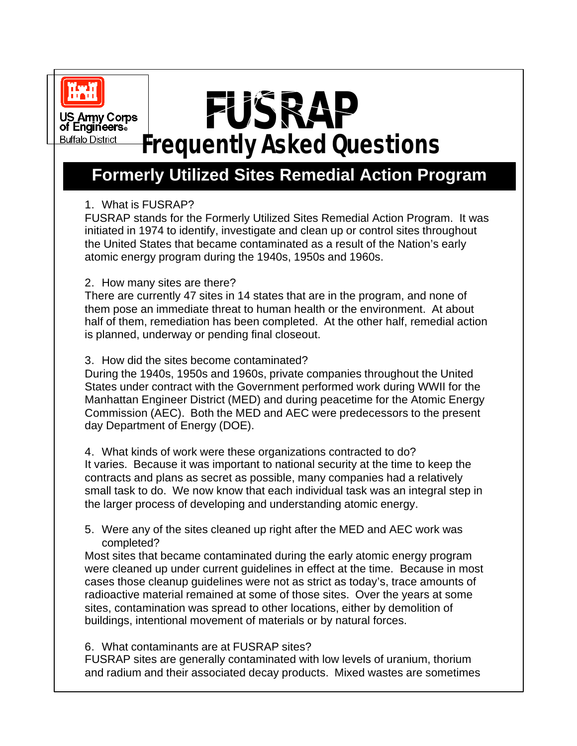

US Army Corps<br>of Engineers

**Buffalo District** 

# *FUSRAP Frequently Asked Questions*

# **Formerly Utilized Sites Remedial Action Program**

# 1. What is FUSRAP?

FUSRAP stands for the Formerly Utilized Sites Remedial Action Program. It was initiated in 1974 to identify, investigate and clean up or control sites throughout the United States that became contaminated as a result of the Nation's early atomic energy program during the 1940s, 1950s and 1960s.

# 2. How many sites are there?

There are currently 47 sites in 14 states that are in the program, and none of them pose an immediate threat to human health or the environment. At about half of them, remediation has been completed. At the other half, remedial action is planned, underway or pending final closeout.

### 3. How did the sites become contaminated?

During the 1940s, 1950s and 1960s, private companies throughout the United States under contract with the Government performed work during WWII for the Manhattan Engineer District (MED) and during peacetime for the Atomic Energy Commission (AEC). Both the MED and AEC were predecessors to the present day Department of Energy (DOE).

4. What kinds of work were these organizations contracted to do? It varies. Because it was important to national security at the time to keep the contracts and plans as secret as possible, many companies had a relatively small task to do. We now know that each individual task was an integral step in the larger process of developing and understanding atomic energy.

5. Were any of the sites cleaned up right after the MED and AEC work was completed?

Most sites that became contaminated during the early atomic energy program were cleaned up under current guidelines in effect at the time. Because in most cases those cleanup guidelines were not as strict as today's, trace amounts of radioactive material remained at some of those sites. Over the years at some sites, contamination was spread to other locations, either by demolition of buildings, intentional movement of materials or by natural forces.

#### 6. What contaminants are at FUSRAP sites?

FUSRAP sites are generally contaminated with low levels of uranium, thorium and radium and their associated decay products. Mixed wastes are sometimes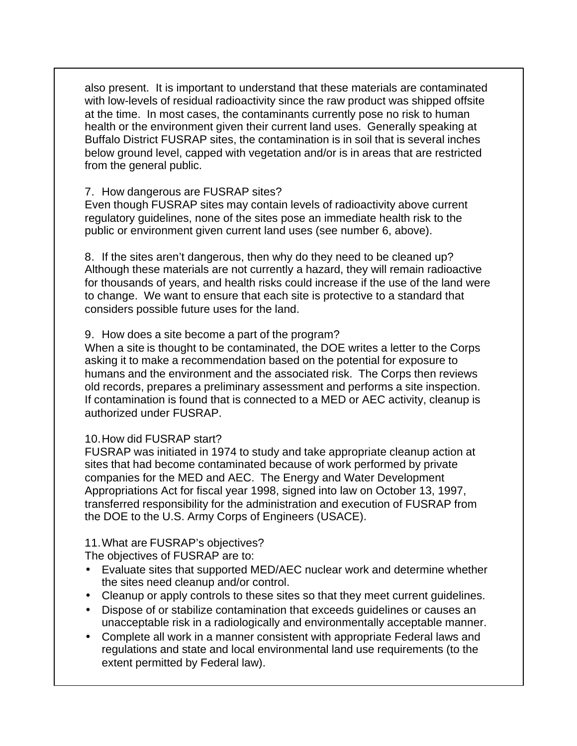also present. It is important to understand that these materials are contaminated with low-levels of residual radioactivity since the raw product was shipped offsite at the time. In most cases, the contaminants currently pose no risk to human health or the environment given their current land uses. Generally speaking at Buffalo District FUSRAP sites, the contamination is in soil that is several inches below ground level, capped with vegetation and/or is in areas that are restricted from the general public.

#### 7. How dangerous are FUSRAP sites?

Even though FUSRAP sites may contain levels of radioactivity above current regulatory guidelines, none of the sites pose an immediate health risk to the public or environment given current land uses (see number 6, above).

8. If the sites aren't dangerous, then why do they need to be cleaned up? Although these materials are not currently a hazard, they will remain radioactive for thousands of years, and health risks could increase if the use of the land were to change. We want to ensure that each site is protective to a standard that considers possible future uses for the land.

#### 9. How does a site become a part of the program?

When a site is thought to be contaminated, the DOE writes a letter to the Corps asking it to make a recommendation based on the potential for exposure to humans and the environment and the associated risk. The Corps then reviews old records, prepares a preliminary assessment and performs a site inspection. If contamination is found that is connected to a MED or AEC activity, cleanup is authorized under FUSRAP.

#### 10.How did FUSRAP start?

FUSRAP was initiated in 1974 to study and take appropriate cleanup action at sites that had become contaminated because of work performed by private companies for the MED and AEC. The Energy and Water Development Appropriations Act for fiscal year 1998, signed into law on October 13, 1997, transferred responsibility for the administration and execution of FUSRAP from the DOE to the U.S. Army Corps of Engineers (USACE).

#### 11.What are FUSRAP's objectives?

The objectives of FUSRAP are to:

- Evaluate sites that supported MED/AEC nuclear work and determine whether the sites need cleanup and/or control.
- Cleanup or apply controls to these sites so that they meet current guidelines.
- Dispose of or stabilize contamination that exceeds guidelines or causes an unacceptable risk in a radiologically and environmentally acceptable manner.
- Complete all work in a manner consistent with appropriate Federal laws and regulations and state and local environmental land use requirements (to the extent permitted by Federal law).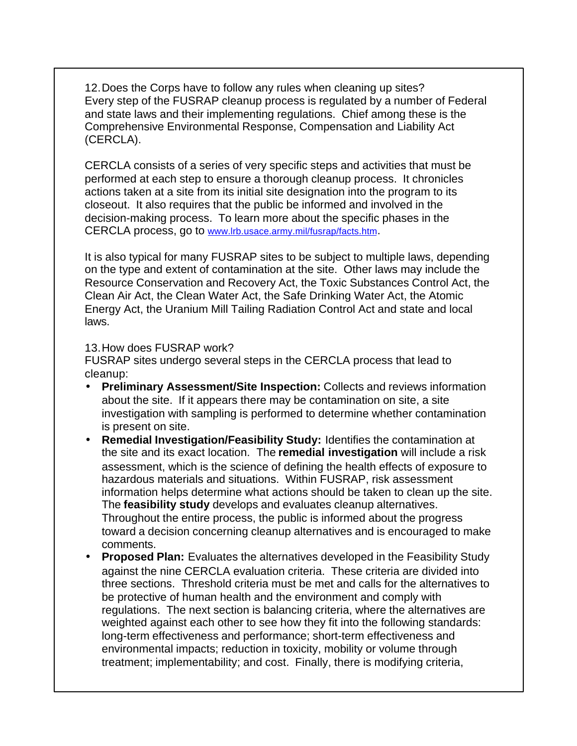12.Does the Corps have to follow any rules when cleaning up sites? Every step of the FUSRAP cleanup process is regulated by a number of Federal and state laws and their implementing regulations. Chief among these is the Comprehensive Environmental Response, Compensation and Liability Act (CERCLA).

CERCLA consists of a series of very specific steps and activities that must be performed at each step to ensure a thorough cleanup process. It chronicles actions taken at a site from its initial site designation into the program to its closeout. It also requires that the public be informed and involved in the decision-making process. To learn more about the specific phases in the CERCLA process, go to www.lrb.usace.army.mil/fusrap/facts.htm.

It is also typical for many FUSRAP sites to be subject to multiple laws, depending on the type and extent of contamination at the site. Other laws may include the Resource Conservation and Recovery Act, the Toxic Substances Control Act, the Clean Air Act, the Clean Water Act, the Safe Drinking Water Act, the Atomic Energy Act, the Uranium Mill Tailing Radiation Control Act and state and local laws.

13.How does FUSRAP work?

FUSRAP sites undergo several steps in the CERCLA process that lead to cleanup:

- **Preliminary Assessment/Site Inspection:** Collects and reviews information about the site. If it appears there may be contamination on site, a site investigation with sampling is performed to determine whether contamination is present on site.
- **Remedial Investigation/Feasibility Study:** Identifies the contamination at the site and its exact location. The **remedial investigation** will include a risk assessment, which is the science of defining the health effects of exposure to hazardous materials and situations. Within FUSRAP, risk assessment information helps determine what actions should be taken to clean up the site. The **feasibility study** develops and evaluates cleanup alternatives. Throughout the entire process, the public is informed about the progress toward a decision concerning cleanup alternatives and is encouraged to make comments.
- **Proposed Plan:** Evaluates the alternatives developed in the Feasibility Study against the nine CERCLA evaluation criteria. These criteria are divided into three sections. Threshold criteria must be met and calls for the alternatives to be protective of human health and the environment and comply with regulations. The next section is balancing criteria, where the alternatives are weighted against each other to see how they fit into the following standards: long-term effectiveness and performance; short-term effectiveness and environmental impacts; reduction in toxicity, mobility or volume through treatment; implementability; and cost. Finally, there is modifying criteria,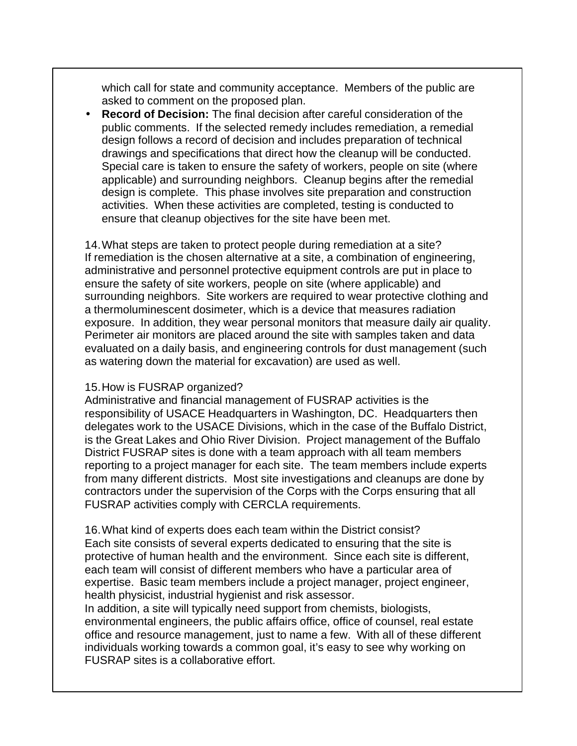which call for state and community acceptance. Members of the public are asked to comment on the proposed plan.

• **Record of Decision:** The final decision after careful consideration of the public comments. If the selected remedy includes remediation, a remedial design follows a record of decision and includes preparation of technical drawings and specifications that direct how the cleanup will be conducted. Special care is taken to ensure the safety of workers, people on site (where applicable) and surrounding neighbors. Cleanup begins after the remedial design is complete. This phase involves site preparation and construction activities. When these activities are completed, testing is conducted to ensure that cleanup objectives for the site have been met.

14.What steps are taken to protect people during remediation at a site? If remediation is the chosen alternative at a site, a combination of engineering, administrative and personnel protective equipment controls are put in place to ensure the safety of site workers, people on site (where applicable) and surrounding neighbors. Site workers are required to wear protective clothing and a thermoluminescent dosimeter, which is a device that measures radiation exposure. In addition, they wear personal monitors that measure daily air quality. Perimeter air monitors are placed around the site with samples taken and data evaluated on a daily basis, and engineering controls for dust management (such as watering down the material for excavation) are used as well.

#### 15.How is FUSRAP organized?

Administrative and financial management of FUSRAP activities is the responsibility of USACE Headquarters in Washington, DC. Headquarters then delegates work to the USACE Divisions, which in the case of the Buffalo District, is the Great Lakes and Ohio River Division. Project management of the Buffalo District FUSRAP sites is done with a team approach with all team members reporting to a project manager for each site. The team members include experts from many different districts. Most site investigations and cleanups are done by contractors under the supervision of the Corps with the Corps ensuring that all FUSRAP activities comply with CERCLA requirements.

16.What kind of experts does each team within the District consist? Each site consists of several experts dedicated to ensuring that the site is protective of human health and the environment. Since each site is different, each team will consist of different members who have a particular area of expertise. Basic team members include a project manager, project engineer, health physicist, industrial hygienist and risk assessor.

In addition, a site will typically need support from chemists, biologists, environmental engineers, the public affairs office, office of counsel, real estate office and resource management, just to name a few. With all of these different individuals working towards a common goal, it's easy to see why working on FUSRAP sites is a collaborative effort.